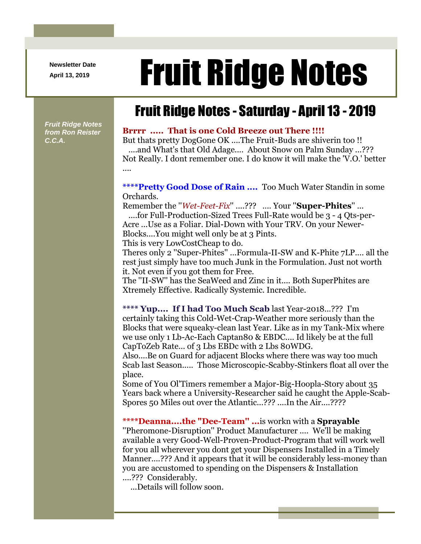**Newsletter Date**

# April 13, 2019 **Fruit Ridge Notes**

## Fruit Ridge Notes - Saturday - April 13 - 2019

*Fruit Ridge Notes from Ron Reister C.C.A.*

#### **Brrrr ..... That is one Cold Breeze out There !!!!**

But thats pretty DogGone OK ....The Fruit-Buds are shiverin too !! ....and What's that Old Adage.... About Snow on Palm Sunday ...??? Not Really. I dont remember one. I do know it will make the 'V.O.' better ....

#### **\*\*\*\*Pretty Good Dose of Rain ....** Too Much Water Standin in some Orchards.

Remember the ''*Wet-Feet-Fix*'' ....??? .... Your ''**Super-Phites**'' ... ....for Full-Production-Sized Trees Full-Rate would be 3 - 4 Qts-per-

Acre ...Use as a Foliar. Dial-Down with Your TRV. On your Newer-Blocks....You might well only be at 3 Pints.

This is very LowCostCheap to do.

Theres only 2 ''Super-Phites'' ...Formula-II-SW and K-Phite 7LP.... all the rest just simply have too much Junk in the Formulation. Just not worth it. Not even if you got them for Free.

The ''II-SW'' has the SeaWeed and Zinc in it.... Both SuperPhites are Xtremely Effective. Radically Systemic. Incredible.

**\*\*\*\* Yup.... If I had Too Much Scab** last Year-2018...??? I'm certainly taking this Cold-Wet-Crap-Weather more seriously than the Blocks that were squeaky-clean last Year. Like as in my Tank-Mix where we use only 1 Lb-Ac-Each Captan80 & EBDC.... Id likely be at the full CapToZeb Rate... of 3 Lbs EBDc with 2 Lbs 80WDG.

Also....Be on Guard for adjacent Blocks where there was way too much Scab last Season..... Those Microscopic-Scabby-Stinkers float all over the place.

Some of You Ol'Timers remember a Major-Big-Hoopla-Story about 35 Years back where a University-Researcher said he caught the Apple-Scab-Spores 50 Miles out over the Atlantic...??? ....In the Air....????

**\*\*\*\*Deanna....the "Dee-Team'' ...**is workn with a **Sprayable** ''Pheromone-Disruption'' Product Manufacturer .... We'll be making available a very Good-Well-Proven-Product-Program that will work well for you all wherever you dont get your Dispensers Installed in a Timely Manner....??? And it appears that it will be considerably less-money than you are accustomed to spending on the Dispensers & Installation ....??? Considerably.

...Details will follow soon.